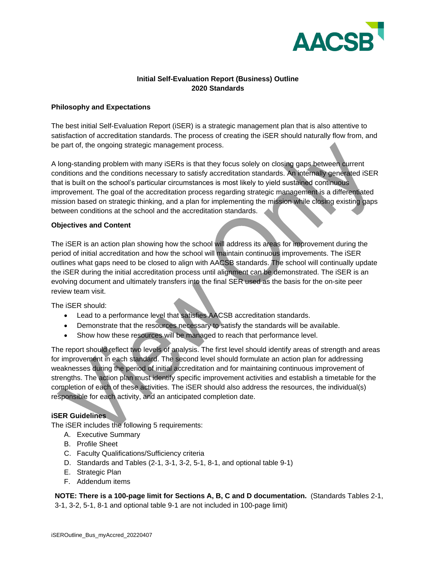

### **Initial Self-Evaluation Report (Business) Outline 2020 Standards**

#### **Philosophy and Expectations**

The best initial Self-Evaluation Report (iSER) is a strategic management plan that is also attentive to satisfaction of accreditation standards. The process of creating the iSER should naturally flow from, and be part of, the ongoing strategic management process.

A long-standing problem with many iSERs is that they focus solely on closing gaps between current conditions and the conditions necessary to satisfy accreditation standards. An internally generated iSER that is built on the school's particular circumstances is most likely to yield sustained continuous improvement. The goal of the accreditation process regarding strategic management is a differentiated mission based on strategic thinking, and a plan for implementing the mission while closing existing gaps between conditions at the school and the accreditation standards.

### **Objectives and Content**

The iSER is an action plan showing how the school will address its areas for improvement during the period of initial accreditation and how the school will maintain continuous improvements. The iSER outlines what gaps need to be closed to align with AACSB standards. The school will continually update the iSER during the initial accreditation process until alignment can be demonstrated. The iSER is an evolving document and ultimately transfers into the final SER used as the basis for the on-site peer review team visit.

The iSER should:

- Lead to a performance level that satisfies AACSB accreditation standards.
- Demonstrate that the resources necessary to satisfy the standards will be available.
- Show how these resources will be managed to reach that performance level.

The report should reflect two levels of analysis. The first level should identify areas of strength and areas for improvement in each standard. The second level should formulate an action plan for addressing weaknesses during the period of initial accreditation and for maintaining continuous improvement of strengths. The action plan must identify specific improvement activities and establish a timetable for the completion of each of these activities. The iSER should also address the resources, the individual(s) responsible for each activity, and an anticipated completion date.

### **iSER Guidelines**

The iSER includes the following 5 requirements:

- A. Executive Summary
- B. Profile Sheet
- C. Faculty Qualifications/Sufficiency criteria
- D. Standards and Tables (2-1, 3-1, 3-2, 5-1, 8-1, and optional table 9-1)
- E. Strategic Plan
- F. Addendum items

### **NOTE: There is a 100-page limit for Sections A, B, C and D documentation.** (Standards Tables 2-1,

3-1, 3-2, 5-1, 8-1 and optional table 9-1 are not included in 100-page limit)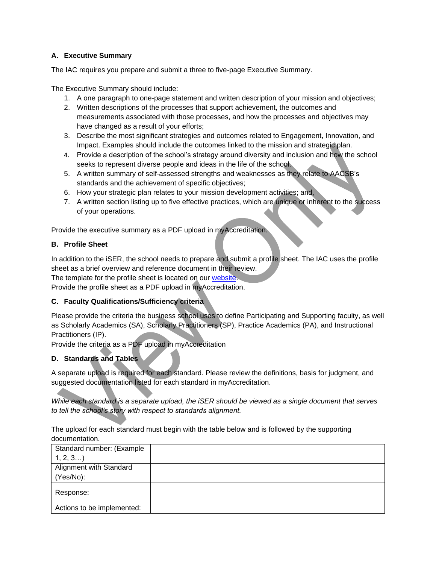## **A. Executive Summary**

The IAC requires you prepare and submit a three to five-page Executive Summary.

The Executive Summary should include:

- 1. A one paragraph to one-page statement and written description of your mission and objectives;
- 2. Written descriptions of the processes that support achievement, the outcomes and measurements associated with those processes, and how the processes and objectives may have changed as a result of your efforts;
- 3. Describe the most significant strategies and outcomes related to Engagement, Innovation, and Impact. Examples should include the outcomes linked to the mission and strategic plan.
- 4. Provide a description of the school's strategy around diversity and inclusion and how the school seeks to represent diverse people and ideas in the life of the school.
- 5. A written summary of self-assessed strengths and weaknesses as they relate to AACSB's standards and the achievement of specific objectives;
- 6. How your strategic plan relates to your mission development activities; and,
- 7. A written section listing up to five effective practices, which are unique or inherent to the success of your operations.

Provide the executive summary as a PDF upload in myAccreditation.

## **B. Profile Sheet**

In addition to the iSER, the school needs to prepare and submit a profile sheet. The IAC uses the profile sheet as a brief overview and reference document in their review.

The template for the profile sheet is located on our website

Provide the profile sheet as a PDF upload in myAccreditation.

### **C. Faculty Qualifications/Sufficiency criteria**

Please provide the criteria the business school uses to define Participating and Supporting faculty, as well as Scholarly Academics (SA), Scholarly Practitioners (SP), Practice Academics (PA), and Instructional Practitioners (IP).

Provide the criteria as a PDF upload in myAccreditation

### **D. Standards and Tables**

A separate upload is required for each standard. Please review the definitions, basis for judgment, and suggested documentation listed for each standard in myAccreditation.

*While each standard is a separate upload, the iSER should be viewed as a single document that serves to tell the school's story with respect to standards alignment.*

The upload for each standard must begin with the table below and is followed by the supporting documentation.

| Standard number: (Example  |  |
|----------------------------|--|
| 1, 2, 3                    |  |
| Alignment with Standard    |  |
| (Yes/No):                  |  |
| Response:                  |  |
| Actions to be implemented: |  |